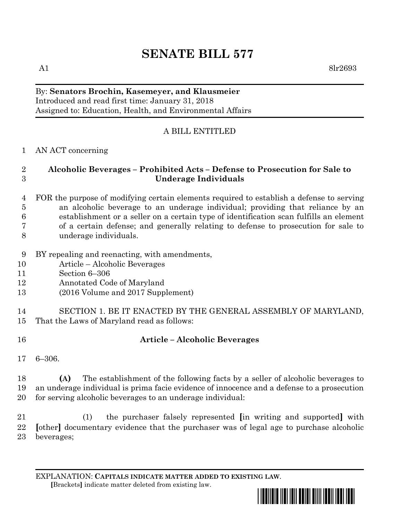# **SENATE BILL 577**

A1  $8\text{lr}2693$ 

#### By: **Senators Brochin, Kasemeyer, and Klausmeier** Introduced and read first time: January 31, 2018 Assigned to: Education, Health, and Environmental Affairs

### A BILL ENTITLED

#### AN ACT concerning

#### **Alcoholic Beverages – Prohibited Acts – Defense to Prosecution for Sale to Underage Individuals**

- FOR the purpose of modifying certain elements required to establish a defense to serving an alcoholic beverage to an underage individual; providing that reliance by an establishment or a seller on a certain type of identification scan fulfills an element of a certain defense; and generally relating to defense to prosecution for sale to underage individuals.
- BY repealing and reenacting, with amendments,
- Article Alcoholic Beverages
- Section 6–306
- Annotated Code of Maryland
- (2016 Volume and 2017 Supplement)

 SECTION 1. BE IT ENACTED BY THE GENERAL ASSEMBLY OF MARYLAND, That the Laws of Maryland read as follows:

## **Article – Alcoholic Beverages**

6–306.

 **(A)** The establishment of the following facts by a seller of alcoholic beverages to an underage individual is prima facie evidence of innocence and a defense to a prosecution for serving alcoholic beverages to an underage individual:

 (1) the purchaser falsely represented **[**in writing and supported**]** with **[**other**]** documentary evidence that the purchaser was of legal age to purchase alcoholic beverages;